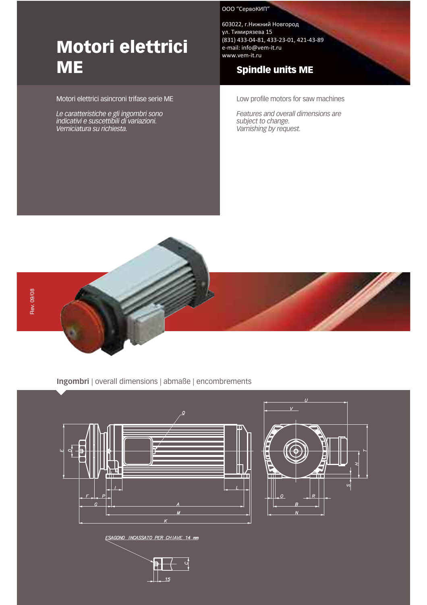# Motori elettrici **ME**

#### Motori elettrici asincroni trifase serie ME

Le caratteristiche e gli ingombri sono indicativi e suscettibili di variazioni. Verniciatura su richiesta.

#### ООО "СервоКИП"

603022, г.Нижний Новгород ул. Тимирязева 15 (831) 433-04-81, 433-23-01, 421-43-89 e-mail: info@vem-it.ru www.vem-it.ru

# Spindle units ME

Low profile motors for saw machines

Features and overall dimensions are subject to change. Varnishing by request.



#### Ingombri | overall dimensions | abmaße | encombrements



 $\circ$ . PT  $15$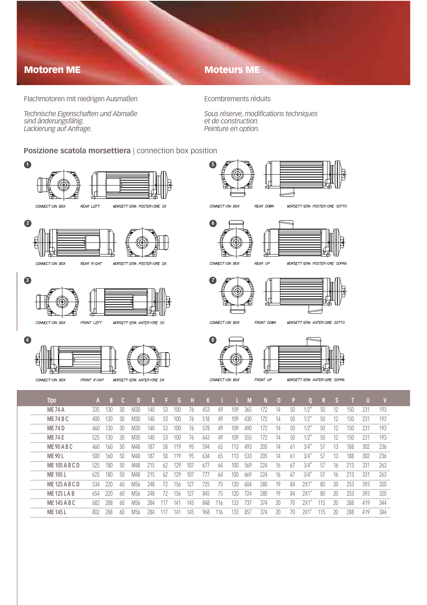### Motoren ME

### Moteurs ME

Flachmotoren mit niedrigen Ausmaßen

Technische Eigenschaften und Abmaße sind änderungsfähig. Lackierung auf Anfrage.

Ecombrements réduits

Sous réserve, modifications techniques et de construction. Peinture en option.

#### Posizione scatola morsettiera | connection box position



| <b>ME 74 A</b>        | 335 | 130 | 30 | M30 | 140 | 53  | 100 | 76  | 453 | 49  | 109 | 365 | 172 | 14 | 50 | $1/2^n$ | 50  | 12 | 150 | 231 | 193 |
|-----------------------|-----|-----|----|-----|-----|-----|-----|-----|-----|-----|-----|-----|-----|----|----|---------|-----|----|-----|-----|-----|
| <b>ME 74 B C</b>      | 400 | 130 | 30 | M30 | 140 | 53  | 100 | 76  | 518 | 49  | 109 | 430 | 172 | 14 | 50 | $1/2$ " | 50  | 12 | 150 | 231 | 193 |
| <b>ME 74 D</b>        | 460 | 130 | 30 | M30 | 140 | 53  | 100 | 76  | 578 | 49  | 109 | 490 | 172 | 14 | 50 | $1/2$ " | 50  | 12 | 150 | 231 | 193 |
| <b>ME 74 E</b>        | 525 | 130 | 30 | M30 | 140 | 53  | 100 | 76  | 643 | 49  | 109 | 555 | 172 | 14 | 50 | $1/2$ " | 50  | 12 | 150 | 231 | 193 |
| <b>ME 90 A B C</b>    | 460 | 160 | 50 | M48 | 187 | 58  | 119 | 95  | 594 | 65  | 113 | 493 | 205 | 14 | 61 | 3/4''   | 57  | 13 | 188 | 302 | 236 |
| <b>ME 90 L</b>        | 500 | 160 | 50 | M48 | 187 | 58  | 119 | 95  | 634 | 65  | 113 | 533 | 205 | 14 | 61 | 3/4''   | -57 | 13 | 188 | 302 | 236 |
| <b>ME 105 A B C D</b> | 525 | 180 | 50 | M48 | 215 | 62  | 129 | 107 | 677 | 64  | 100 | 569 | 224 | 16 | 67 | 3/4''   | 57  | 16 | 213 | 331 | 263 |
| <b>ME 105 L</b>       | 625 | 180 | 50 | M48 | 215 | 62  | 129 | 107 | 777 | 64  | 100 | 669 | 224 | 16 | 67 | 3/4''   | 57  | 16 | 213 | 331 | 263 |
| <b>ME 125 A B C D</b> | 534 | 220 | 60 | M56 | 248 | 72  | 156 | 127 | 725 | 75  | 120 | 604 | 280 | 19 | 84 | 2X1''   | 80  | 20 | 253 | 393 | 320 |
| <b>ME 125 LAB</b>     | 654 | 220 | 60 | M56 | 248 | 72  | 156 | 127 | 845 | 75  | 120 | 724 | 280 | 19 | 84 | 2X1''   | 80  | 20 | 253 | 393 | 320 |
| <b>ME 145 A B C</b>   | 682 | 288 | 60 | M56 | 284 | 117 | 141 | 145 | 848 | 116 | 133 | 737 | 374 | 20 | 70 | 2X1''   | 115 | 20 | 288 | 419 | 344 |
| <b>ME 145 L</b>       | 802 | 288 | 60 | M56 | 284 | 117 | 141 | 145 | 968 | 116 | 133 | 857 | 374 | 20 | 70 | 2X1     | 115 | 20 | 288 | 419 | 344 |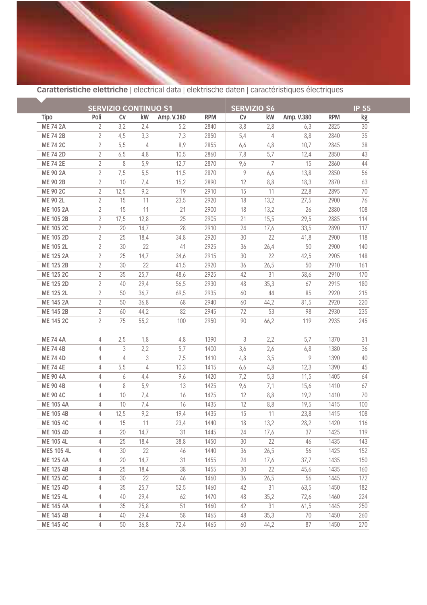

## Caratteristiche elettriche | electrical data | elektrische daten | caractéristiques électriques

|                   |                | <b>SERVIZIO CONTINUO S1</b> |      |            |            | <b>SERVIZIO S6</b> | <b>IP 55</b> |            |            |     |
|-------------------|----------------|-----------------------------|------|------------|------------|--------------------|--------------|------------|------------|-----|
| <b>Tipo</b>       | Poli           | C <sub>V</sub>              | kW   | Amp. V.380 | <b>RPM</b> | Cv                 | kW           | Amp. V.380 | <b>RPM</b> | kg  |
| <b>ME 74 2A</b>   | 2              | 3,2                         | 2,4  | 5,2        | 2840       | 3,8                | 2,8          | 6,3        | 2825       | 30  |
| <b>ME 74 2B</b>   | 2              | 4,5                         | 3,3  | 7,3        | 2850       | 5,4                | 4            | 8,8        | 2840       | 35  |
| <b>ME 74 2C</b>   | $\sqrt{2}$     | 5,5                         | 4    | 8,9        | 2855       | 6, 6               | 4,8          | 10,7       | 2845       | 38  |
| <b>ME 74 2D</b>   | $\sqrt{2}$     | 6,5                         | 4,8  | 10,5       | 2860       | 7,8                | 5,7          | 12,4       | 2850       | 43  |
| <b>ME 74 2E</b>   | 2              | 8                           | 5,9  | 12,7       | 2870       | 9,6                | 7            | 15         | 2860       | 44  |
| <b>ME 90 2A</b>   | $\sqrt{2}$     | 7,5                         | 5,5  | 11,5       | 2870       | 9                  | 6,6          | 13,8       | 2850       | 56  |
| <b>ME 90 2B</b>   | $\overline{2}$ | 10                          | 7,4  | 15,2       | 2890       | 12                 | 8,8          | 18,3       | 2870       | 63  |
| <b>ME 90 2C</b>   | $\sqrt{2}$     | 12,5                        | 9,2  | 19         | 2910       | 15                 | 11           | 22,8       | 2895       | 70  |
| ME 90 2L          | 2              | 15                          | 11   | 23,5       | 2920       | 18                 | 13,2         | 27,5       | 2900       | 76  |
| ME 105 2A         | $\sqrt{2}$     | 15                          | 11   | 21         | 2900       | 18                 | 13,2         | 26         | 2880       | 108 |
| ME 105 2B         | $\sqrt{2}$     | 17,5                        | 12,8 | 25         | 2905       | 21                 | 15,5         | 29,5       | 2885       | 114 |
| ME 105 2C         | 2              | 20                          | 14,7 | 28         | 2910       | 24                 | 17,6         | 33,5       | 2890       | 117 |
| ME 105 2D         | 2              | 25                          | 18,4 | 34,8       | 2920       | 30                 | 22           | 41,8       | 2900       | 118 |
| ME 105 2L         | 2              | 30                          | 22   | 41         | 2925       | 36                 | 26,4         | 50         | 2900       | 140 |
| <b>ME 125 2A</b>  | 2              | 25                          | 14,7 | 34,6       | 2915       | 30                 | 22           | 42,5       | 2905       | 148 |
| <b>ME 125 2B</b>  | 2              | 30                          | 22   | 41,5       | 2920       | 36                 | 26,5         | 50         | 2910       | 161 |
| ME 125 2C         | $\sqrt{2}$     | 35                          | 25,7 | 48,6       | 2925       | 42                 | 31           | 58,6       | 2910       | 170 |
| ME 125 2D         | 2              | 40                          | 29,4 | 56,5       | 2930       | 48                 | 35,3         | 67         | 2915       | 180 |
| ME 125 2L         | 2              | 50                          | 36,7 | 69,5       | 2935       | 60                 | 44           | 85         | 2920       | 215 |
| <b>ME 145 2A</b>  | 2              | 50                          | 36,8 | 68         | 2940       | 60                 | 44,2         | 81,5       | 2920       | 220 |
| ME 145 2B         | $\sqrt{2}$     | 60                          | 44,2 | 82         | 2945       | 72                 | 53           | 98         | 2930       | 235 |
| <b>ME 145 2C</b>  | 2              | 75                          | 55,2 | 100        | 2950       | 90                 | 66,2         | 119        | 2935       | 245 |
| <b>ME 74 4A</b>   | 4              | 2,5                         | 1,8  | 4,8        | 1390       | 3                  | 2,2          | 5,7        | 1370       | 31  |
| <b>ME 74 4B</b>   | 4              | 3                           | 2,2  | 5,7        | 1400       | 3,6                | 2,6          | 6,8        | 1380       | 36  |
| <b>ME 74 4D</b>   | 4              | 4                           | 3    | 7,5        | 1410       | 4,8                | 3,5          | 9          | 1390       | 40  |
| <b>ME 74 4E</b>   | 4              | 5,5                         | 4    | 10,3       | 1415       | 6, 6               | 4,8          | 12,3       | 1390       | 45  |
| <b>ME 90 4A</b>   | 4              | 6                           | 4,4  | 9,6        | 1420       | 7,2                | 5,3          | 11,5       | 1405       | 64  |
| <b>ME 90 4B</b>   | 4              | 8                           | 5,9  | 13         | 1425       | 9,6                | 7,1          | 15,6       | 1410       | 67  |
| <b>ME 90 4C</b>   | 4              | 10                          | 7,4  | 16         | 1425       | 12                 | 8,8          | 19,2       | 1410       | 70  |
| <b>ME 105 4A</b>  | 4              | 10                          | 7,4  | 16         | 1435       | 12                 | 8,8          | 19,5       | 1415       | 100 |
| <b>ME 105 4B</b>  | 4              | 12,5                        | 9,2  | 19,4       | 1435       | 15                 | 11           | 23,8       | 1415       | 108 |
| <b>ME 105 4C</b>  | 4              | 15                          | 11   | 23,4       | 1440       | 18                 | 13,2         | 28,2       | 1420       | 116 |
| ME 105 4D         | 4              | 20                          | 14,7 | 31         | 1445       | 24                 | 17,6         | 37         | 1425       | 119 |
| ME 105 4L         | 4              | 25                          | 18,4 | 38,8       | 1450       | 30                 | 22           | 46         | 1435       | 143 |
| <b>MES 105 4L</b> | 4              | 30                          | 22   | 46         | 1440       | 36                 | 26,5         | 56         | 1425       | 152 |
| ME 125 4A         | 4              | 20                          | 14,7 | 31         | 1455       | 24                 | 17,6         | 37,7       | 1435       | 150 |
| ME 125 4B         | 4              | 25                          | 18,4 | 38         | 1455       | 30                 | 22           | 45,6       | 1435       | 160 |
| ME 125 4C         | 4              | 30                          | 22   | 46         | 1460       | 36                 | 26,5         | 56         | 1445       | 172 |
| ME 125 4D         | 4              | 35                          | 25,7 | 52,5       | 1460       | 42                 | 31           | 63,5       | 1450       | 182 |
| ME 125 4L         | 4              | 40                          | 29,4 | 62         | 1470       | 48                 | 35,2         | 72,6       | 1460       | 224 |
| <b>ME 145 4A</b>  | 4              | 35                          | 25,8 | 51         | 1460       | 42                 | 31           | 61,5       | 1445       | 250 |
| ME 145 4B         | 4              | 40                          | 29,4 | 58         | 1465       | 48                 | 35,3         | 70         | 1450       | 260 |
| ME 145 4C         | 4              | 50                          | 36,8 | 72,4       | 1465       | 60                 | 44,2         | 87         | 1450       | 270 |
|                   |                |                             |      |            |            |                    |              |            |            |     |